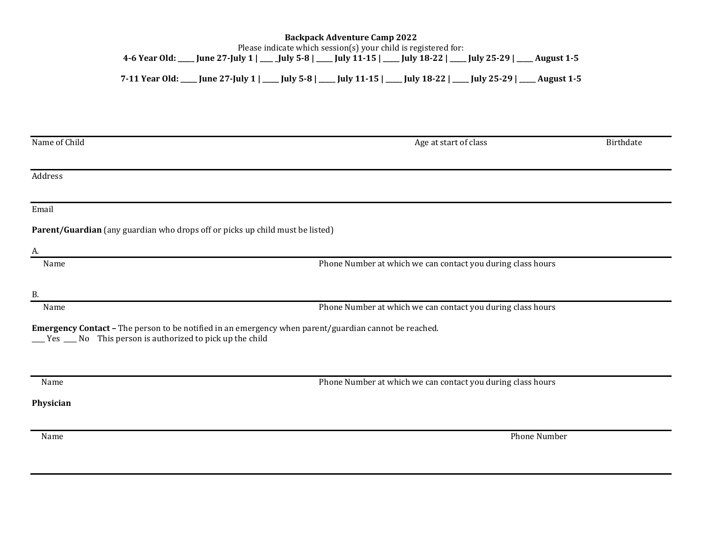## **Backpack Adventure Camp 2022** Please indicate which session(s) your child is registered for: **4-6 Year Old: \_\_\_\_\_ June 27-July 1 | \_\_\_\_ \_July 5-8 | \_\_\_\_\_ July 11-15 | \_\_\_\_\_ July 18-22 | \_\_\_\_\_ July 25-29 | \_\_\_\_\_ August 1-5**

**7-11 Year Old: \_\_\_\_\_ June 27-July 1 | \_\_\_\_\_ July 5-8 | \_\_\_\_\_ July 11-15 | \_\_\_\_\_ July 18-22 | \_\_\_\_\_ July 25-29 | \_\_\_\_\_ August 1-5**

| Name of Child                                                                                                                                                        | Age at start of class                                       | Birthdate |
|----------------------------------------------------------------------------------------------------------------------------------------------------------------------|-------------------------------------------------------------|-----------|
|                                                                                                                                                                      |                                                             |           |
| Address                                                                                                                                                              |                                                             |           |
|                                                                                                                                                                      |                                                             |           |
| Email                                                                                                                                                                |                                                             |           |
| Parent/Guardian (any guardian who drops off or picks up child must be listed)                                                                                        |                                                             |           |
| A.                                                                                                                                                                   |                                                             |           |
| Name                                                                                                                                                                 | Phone Number at which we can contact you during class hours |           |
|                                                                                                                                                                      |                                                             |           |
| <b>B.</b>                                                                                                                                                            |                                                             |           |
| Name                                                                                                                                                                 | Phone Number at which we can contact you during class hours |           |
| Emergency Contact - The person to be notified in an emergency when parent/guardian cannot be reached.<br>__ Yes __ No This person is authorized to pick up the child |                                                             |           |
|                                                                                                                                                                      |                                                             |           |
| Name                                                                                                                                                                 |                                                             |           |
|                                                                                                                                                                      | Phone Number at which we can contact you during class hours |           |
| Physician                                                                                                                                                            |                                                             |           |
|                                                                                                                                                                      |                                                             |           |
| Name                                                                                                                                                                 | Phone Number                                                |           |
|                                                                                                                                                                      |                                                             |           |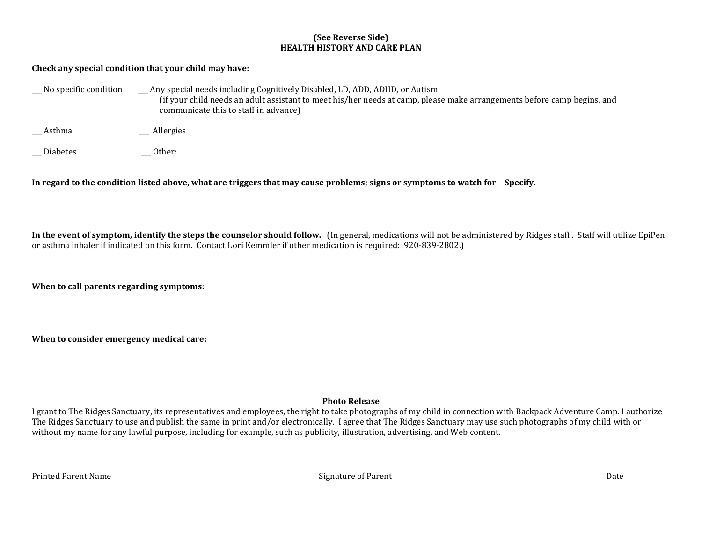## **(See Reverse Side) HEALTH HISTORY AND CARE PLAN**

## **Check any special condition that your child may have:**

| $\Box$ No specific condition | _Any special needs including Cognitively Disabled, LD, ADD, ADHD, or Autism<br>(if your child needs an adult assistant to meet his/her needs at camp, please make arrangements before camp begins, and<br>communicate this to staff in advance) |
|------------------------------|-------------------------------------------------------------------------------------------------------------------------------------------------------------------------------------------------------------------------------------------------|
| Asthma                       | __ Allergies                                                                                                                                                                                                                                    |
| <b>Diabetes</b>              | Other:                                                                                                                                                                                                                                          |

In regard to the condition listed above, what are triggers that may cause problems; signs or symptoms to watch for  $-$  Specify.

**In the event of symptom, identify the steps the counselor should follow.** (In general, medications will not be administered by Ridges staff . Staff will utilize EpiPen or asthma inhaler if indicated on this form. Contact Lori Kemmler if other medication is required: 920-839-2802.)

**When to call parents regarding symptoms:**

**When to consider emergency medical care:** 

## **Photo Release**

I grant to The Ridges Sanctuary, its representatives and employees, the right to take photographs of my child in connection with Backpack Adventure Camp. I authorize The Ridges Sanctuary to use and publish the same in print and/or electronically. I agree that The Ridges Sanctuary may use such photographs of my child with or without my name for any lawful purpose, including for example, such as publicity, illustration, advertising, and Web content.